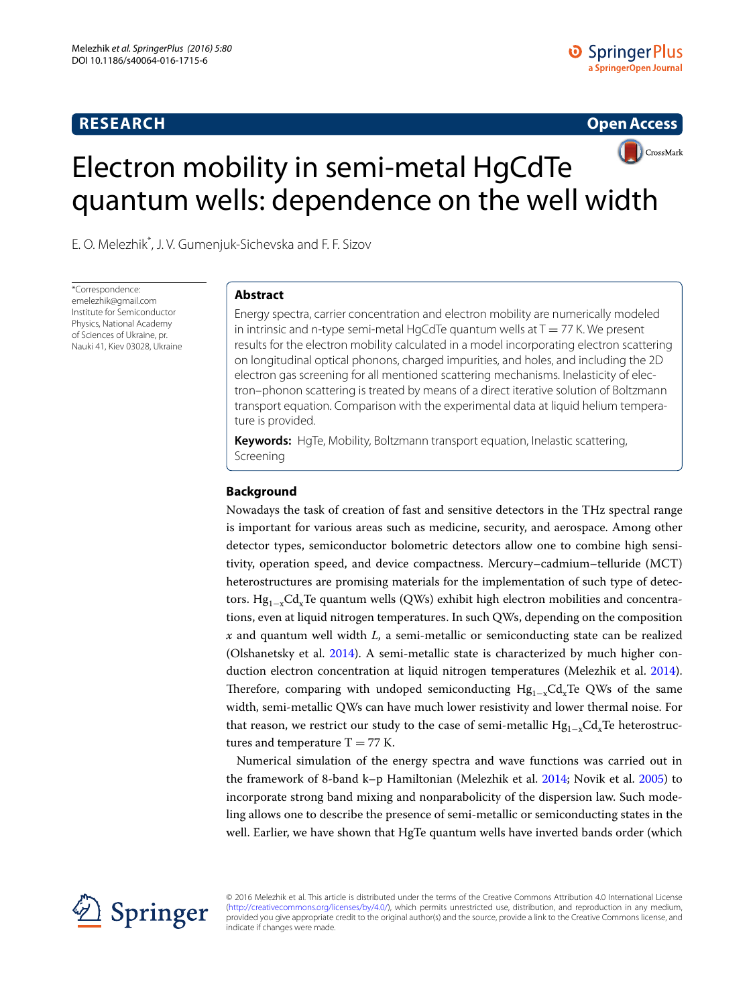# **RESEARCH**

**Open Access**



E. O. Melezhik\* , J. V. Gumenjuk‑Sichevska and F. F. Sizov

\*Correspondence: emelezhik@gmail.com Institute for Semiconductor Physics, National Academy of Sciences of Ukraine, pr. Nauki 41, Kiev 03028, Ukraine

# **Abstract**

Energy spectra, carrier concentration and electron mobility are numerically modeled in intrinsic and n-type semi-metal HgCdTe quantum wells at  $T = 77$  K. We present results for the electron mobility calculated in a model incorporating electron scattering on longitudinal optical phonons, charged impurities, and holes, and including the 2D electron gas screening for all mentioned scattering mechanisms. Inelasticity of elec‑ tron–phonon scattering is treated by means of a direct iterative solution of Boltzmann transport equation. Comparison with the experimental data at liquid helium tempera‑ ture is provided.

**Keywords:** HgTe, Mobility, Boltzmann transport equation, Inelastic scattering, Screening

# **Background**

Nowadays the task of creation of fast and sensitive detectors in the THz spectral range is important for various areas such as medicine, security, and aerospace. Among other detector types, semiconductor bolometric detectors allow one to combine high sensitivity, operation speed, and device compactness. Mercury–cadmium–telluride (MCT) heterostructures are promising materials for the implementation of such type of detectors. Hg<sub>1-x</sub>Cd<sub>x</sub>Te quantum wells (QWs) exhibit high electron mobilities and concentrations, even at liquid nitrogen temperatures. In such QWs, depending on the composition *x* and quantum well width *L,* a semi-metallic or semiconducting state can be realized (Olshanetsky et al. [2014\)](#page-9-0). A semi-metallic state is characterized by much higher conduction electron concentration at liquid nitrogen temperatures (Melezhik et al. [2014](#page-9-1)). Therefore, comparing with undoped semiconducting  $Hg_{1-x}Cd_xTe$  QWs of the same width, semi-metallic QWs can have much lower resistivity and lower thermal noise. For that reason, we restrict our study to the case of semi-metallic  $Hg_{1-x}Cd_xTe$  heterostructures and temperature  $T = 77$  K.

Numerical simulation of the energy spectra and wave functions was carried out in the framework of 8-band k–p Hamiltonian (Melezhik et al. [2014](#page-9-1); Novik et al. [2005\)](#page-9-2) to incorporate strong band mixing and nonparabolicity of the dispersion law. Such modeling allows one to describe the presence of semi-metallic or semiconducting states in the well. Earlier, we have shown that HgTe quantum wells have inverted bands order (which



© 2016 Melezhik et al. This article is distributed under the terms of the Creative Commons Attribution 4.0 International License [\(http://creativecommons.org/licenses/by/4.0/](http://creativecommons.org/licenses/by/4.0/)), which permits unrestricted use, distribution, and reproduction in any medium, provided you give appropriate credit to the original author(s) and the source, provide a link to the Creative Commons license, and indicate if changes were made.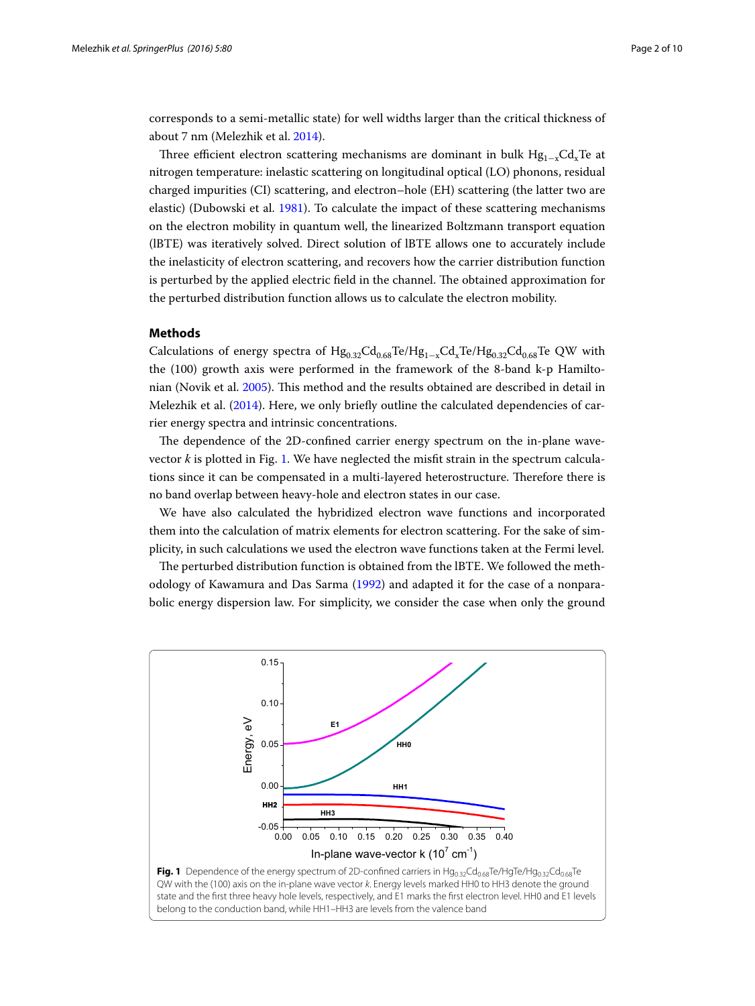corresponds to a semi-metallic state) for well widths larger than the critical thickness of about 7 nm (Melezhik et al. [2014](#page-9-1)).

Three efficient electron scattering mechanisms are dominant in bulk  $Hg_{1-x}Cd_xTe$  at nitrogen temperature: inelastic scattering on longitudinal optical (LO) phonons, residual charged impurities (CI) scattering, and electron–hole (EH) scattering (the latter two are elastic) (Dubowski et al. [1981\)](#page-8-0). To calculate the impact of these scattering mechanisms on the electron mobility in quantum well, the linearized Boltzmann transport equation (lBTE) was iteratively solved. Direct solution of lBTE allows one to accurately include the inelasticity of electron scattering, and recovers how the carrier distribution function is perturbed by the applied electric field in the channel. The obtained approximation for the perturbed distribution function allows us to calculate the electron mobility.

# **Methods**

Calculations of energy spectra of  $Hg_{0.32}Cd_{0.68}Te/Hg_{1-x}Cd_xTe/Hg_{0.32}Cd_{0.68}Te$  QW with the (100) growth axis were performed in the framework of the 8-band k-p Hamiltonian (Novik et al. [2005](#page-9-2)). This method and the results obtained are described in detail in Melezhik et al. [\(2014\)](#page-9-1). Here, we only briefly outline the calculated dependencies of carrier energy spectra and intrinsic concentrations.

The dependence of the 2D-confined carrier energy spectrum on the in-plane wavevector *k* is plotted in Fig. [1.](#page-1-0) We have neglected the misfit strain in the spectrum calculations since it can be compensated in a multi-layered heterostructure. Therefore there is no band overlap between heavy-hole and electron states in our case.

We have also calculated the hybridized electron wave functions and incorporated them into the calculation of matrix elements for electron scattering. For the sake of simplicity, in such calculations we used the electron wave functions taken at the Fermi level.

The perturbed distribution function is obtained from the lBTE. We followed the methodology of Kawamura and Das Sarma [\(1992\)](#page-9-3) and adapted it for the case of a nonparabolic energy dispersion law. For simplicity, we consider the case when only the ground

<span id="page-1-0"></span>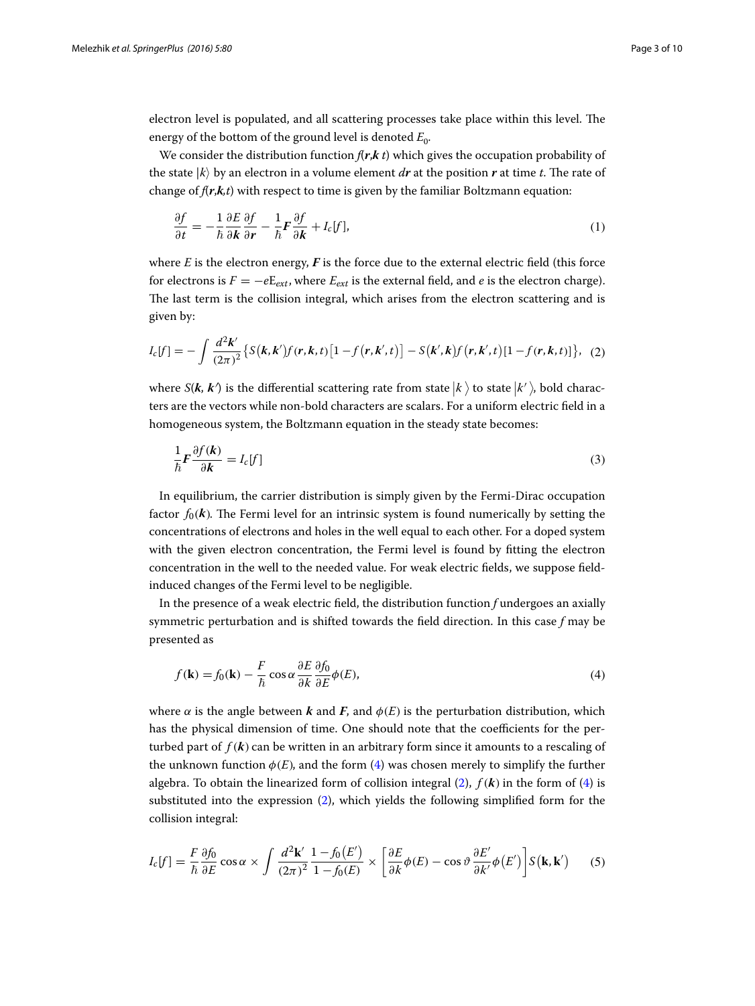electron level is populated, and all scattering processes take place within this level. The energy of the bottom of the ground level is denoted  $E_0$ .

We consider the distribution function  $f(r, k t)$  which gives the occupation probability of the state  $|k\rangle$  by an electron in a volume element *dr* at the position *r* at time *t*. The rate of change of *f*(*r*,*k,t*) with respect to time is given by the familiar Boltzmann equation:

$$
\frac{\partial f}{\partial t} = -\frac{1}{\hbar} \frac{\partial E}{\partial \mathbf{k}} \frac{\partial f}{\partial \mathbf{r}} - \frac{1}{\hbar} \mathbf{F} \frac{\partial f}{\partial \mathbf{k}} + I_c[f],\tag{1}
$$

where  $E$  is the electron energy,  $F$  is the force due to the external electric field (this force for electrons is  $F = -eE_{ext}$ , where  $E_{ext}$  is the external field, and *e* is the electron charge). The last term is the collision integral, which arises from the electron scattering and is given by:

$$
I_c[f] = -\int \frac{d^2 \mathbf{k}'}{(2\pi)^2} \{ S(\mathbf{k}, \mathbf{k'}) f(\mathbf{r}, \mathbf{k}, t) \left[ 1 - f(\mathbf{r}, \mathbf{k'}, t) \right] - S(\mathbf{k'}, \mathbf{k}) f(\mathbf{r}, \mathbf{k'}, t) \left[ 1 - f(\mathbf{r}, \mathbf{k}, t) \right] \}, \tag{2}
$$

where  $S(\mathbf{k}, \mathbf{k}')$  is the differential scattering rate from state  $|k'\rangle$  to state  $|k'\rangle$ , bold characters are the vectors while non-bold characters are scalars. For a uniform electric field in a homogeneous system, the Boltzmann equation in the steady state becomes:

<span id="page-2-3"></span><span id="page-2-1"></span>
$$
\frac{1}{\hbar}F\frac{\partial f(k)}{\partial k} = I_c[f] \tag{3}
$$

In equilibrium, the carrier distribution is simply given by the Fermi-Dirac occupation factor  $f_0(k)$ . The Fermi level for an intrinsic system is found numerically by setting the concentrations of electrons and holes in the well equal to each other. For a doped system with the given electron concentration, the Fermi level is found by fitting the electron concentration in the well to the needed value. For weak electric fields, we suppose fieldinduced changes of the Fermi level to be negligible.

In the presence of a weak electric field, the distribution function *f* undergoes an axially symmetric perturbation and is shifted towards the field direction. In this case *f* may be presented as

<span id="page-2-0"></span>
$$
f(\mathbf{k}) = f_0(\mathbf{k}) - \frac{F}{\hbar} \cos \alpha \frac{\partial E}{\partial k} \frac{\partial f_0}{\partial E} \phi(E), \tag{4}
$$

where  $\alpha$  is the angle between **k** and **F**, and  $\phi$ (E) is the perturbation distribution, which has the physical dimension of time. One should note that the coefficients for the perturbed part of  $f(\mathbf{k})$  can be written in an arbitrary form since it amounts to a rescaling of the unknown function  $\phi(E)$ , and the form [\(4](#page-2-0)) was chosen merely to simplify the further algebra. To obtain the linearized form of collision integral  $(2)$  $(2)$ ,  $f(\mathbf{k})$  in the form of  $(4)$  $(4)$  is substituted into the expression ([2\)](#page-2-1), which yields the following simplified form for the collision integral:

<span id="page-2-2"></span>
$$
I_c[f] = \frac{F}{\hbar} \frac{\partial f_0}{\partial E} \cos \alpha \times \int \frac{d^2 \mathbf{k}'}{(2\pi)^2} \frac{1 - f_0(E')}{1 - f_0(E)} \times \left[ \frac{\partial E}{\partial k} \phi(E) - \cos \vartheta \frac{\partial E'}{\partial k'} \phi(E') \right] S(\mathbf{k}, \mathbf{k'}) \tag{5}
$$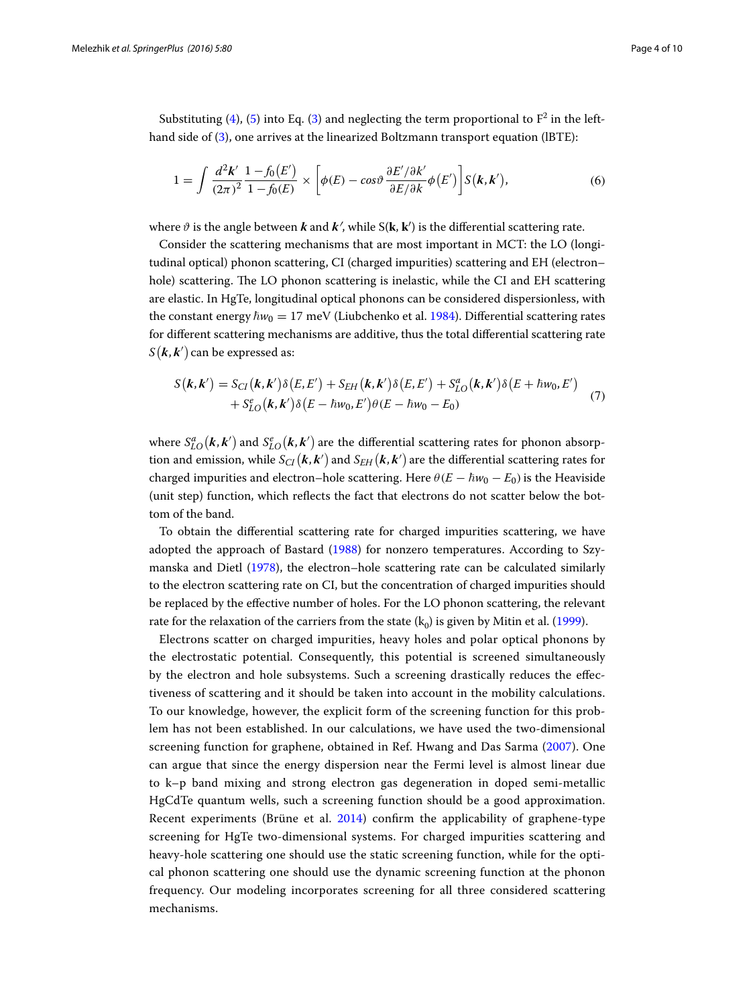Substituting [\(4](#page-2-0)), [\(5](#page-2-2)) into Eq. ([3\)](#page-2-3) and neglecting the term proportional to  $F^2$  in the lefthand side of ([3\)](#page-2-3), one arrives at the linearized Boltzmann transport equation (lBTE):

<span id="page-3-1"></span>
$$
1 = \int \frac{d^2 \mathbf{k}'}{(2\pi)^2} \frac{1 - f_0(E')}{1 - f_0(E)} \times \left[ \phi(E) - \cos \vartheta \frac{\partial E' / \partial k'}{\partial E / \partial k} \phi(E') \right] S(\mathbf{k}, \mathbf{k}'), \tag{6}
$$

where  $\vartheta$  is the angle between **k** and **k**<sup> $\prime$ </sup>, while S(**k**, **k**<sup> $\prime$ </sup>) is the differential scattering rate.

Consider the scattering mechanisms that are most important in MCT: the LO (longitudinal optical) phonon scattering, CI (charged impurities) scattering and EH (electron– hole) scattering. The LO phonon scattering is inelastic, while the CI and EH scattering are elastic. In HgTe, longitudinal optical phonons can be considered dispersionless, with the constant energy  $\hbar w_0 = 17$  meV (Liubchenko et al. [1984\)](#page-9-4). Differential scattering rates for different scattering mechanisms are additive, thus the total differential scattering rate  $\mathcal{S}\big(\boldsymbol{k},\boldsymbol{k}^{\prime}\big)$  can be expressed as:

<span id="page-3-0"></span>
$$
S(\mathbf{k}, \mathbf{k}') = S_{CI}(\mathbf{k}, \mathbf{k}') \delta(E, E') + S_{EH}(\mathbf{k}, \mathbf{k}') \delta(E, E') + S_{LO}^a(\mathbf{k}, \mathbf{k}') \delta(E + \hbar w_0, E') + S_{LO}^e(\mathbf{k}, \mathbf{k}') \delta(E - \hbar w_0, E') \theta(E - \hbar w_0 - E_0)
$$
(7)

where  $S_{LO}^a(\bm{k},\bm{k}')$  and  $S_{LO}^e(\bm{k},\bm{k}')$  are the differential scattering rates for phonon absorption and emission, while  $S_{CI}({\bm k},{\bm k}^{\prime})$  and  $S_{EH}({\bm k},{\bm k}^{\prime})$  are the differential scattering rates for charged impurities and electron–hole scattering. Here  $\theta(E - \hbar w_0 - E_0)$  is the Heaviside (unit step) function, which reflects the fact that electrons do not scatter below the bottom of the band.

To obtain the differential scattering rate for charged impurities scattering, we have adopted the approach of Bastard [\(1988](#page-8-1)) for nonzero temperatures. According to Szymanska and Dietl ([1978\)](#page-9-5), the electron–hole scattering rate can be calculated similarly to the electron scattering rate on CI, but the concentration of charged impurities should be replaced by the effective number of holes. For the LO phonon scattering, the relevant rate for the relaxation of the carriers from the state  $(k_0)$  is given by Mitin et al. [\(1999\)](#page-9-6).

Electrons scatter on charged impurities, heavy holes and polar optical phonons by the electrostatic potential. Consequently, this potential is screened simultaneously by the electron and hole subsystems. Such a screening drastically reduces the effectiveness of scattering and it should be taken into account in the mobility calculations. To our knowledge, however, the explicit form of the screening function for this problem has not been established. In our calculations, we have used the two-dimensional screening function for graphene, obtained in Ref. Hwang and Das Sarma [\(2007](#page-8-2)). One can argue that since the energy dispersion near the Fermi level is almost linear due to k–p band mixing and strong electron gas degeneration in doped semi-metallic HgCdTe quantum wells, such a screening function should be a good approximation. Recent experiments (Brüne et al. [2014](#page-8-3)) confirm the applicability of graphene-type screening for HgTe two-dimensional systems. For charged impurities scattering and heavy-hole scattering one should use the static screening function, while for the optical phonon scattering one should use the dynamic screening function at the phonon frequency. Our modeling incorporates screening for all three considered scattering mechanisms.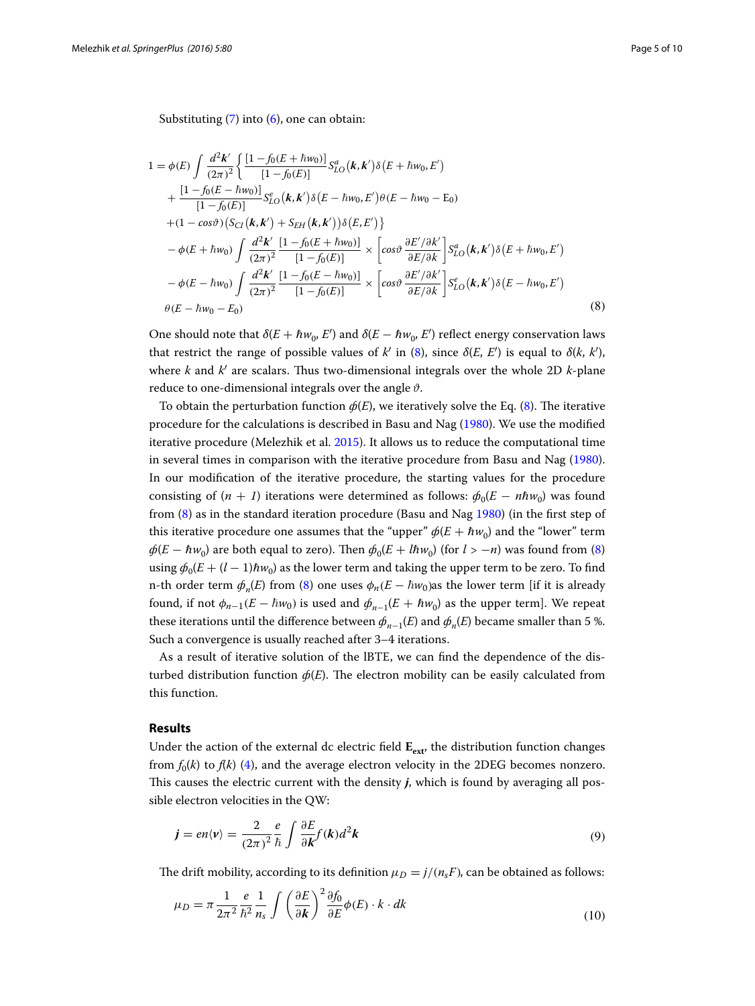Substituting  $(7)$  $(7)$  into  $(6)$  $(6)$ , one can obtain:

$$
1 = \phi(E) \int \frac{d^2 \mathbf{k}'}{(2\pi)^2} \left\{ \frac{[1 - f_0(E + \hbar w_0)]}{[1 - f_0(E)]} S_{LO}^a(\mathbf{k}, \mathbf{k}') \delta(E + \hbar w_0, E') \right. \\ + \frac{[1 - f_0(E - \hbar w_0)]}{[1 - f_0(E)]} S_{LO}^c(\mathbf{k}, \mathbf{k}') \delta(E - \hbar w_0, E') \theta(E - \hbar w_0 - \mathbf{E}_0) \\ + (1 - \cos \vartheta) (S_{CI}(\mathbf{k}, \mathbf{k}') + S_{EH}(\mathbf{k}, \mathbf{k}')) \delta(E, E') \right\} \\ - \phi(E + \hbar w_0) \int \frac{d^2 \mathbf{k}'}{(2\pi)^2} \frac{[1 - f_0(E + \hbar w_0)]}{[1 - f_0(E)]} \times \left[ \cos \vartheta \frac{\partial E'/\partial k'}{\partial E/\partial k'} \right] S_{LO}^a(\mathbf{k}, \mathbf{k}') \delta(E + \hbar w_0, E') \\ - \phi(E - \hbar w_0) \int \frac{d^2 \mathbf{k}'}{(2\pi)^2} \frac{[1 - f_0(E - \hbar w_0)]}{[1 - f_0(E)]} \times \left[ \cos \vartheta \frac{\partial E'/\partial k'}{\partial E/\partial k'} \right] S_{LO}^e(\mathbf{k}, \mathbf{k}') \delta(E - \hbar w_0, E') \\ \theta(E - \hbar w_0 - E_0)
$$
 (8)

<span id="page-4-0"></span>One should note that  $\delta(E + \hbar w_0, E')$  and  $\delta(E - \hbar w_0, E')$  reflect energy conservation laws that restrict the range of possible values of *k'* in [\(8](#page-4-0)), since  $\delta(E, E')$  is equal to  $\delta(k, k')$ , where *k* and *k*′ are scalars. Thus two-dimensional integrals over the whole 2D *k*-plane reduce to one-dimensional integrals over the angle  $\vartheta$ .

To obtain the perturbation function  $\phi(E)$ , we iteratively solve the Eq. [\(8](#page-4-0)). The iterative procedure for the calculations is described in Basu and Nag ([1980\)](#page-8-4). We use the modified iterative procedure (Melezhik et al. [2015](#page-9-7)). It allows us to reduce the computational time in several times in comparison with the iterative procedure from Basu and Nag ([1980](#page-8-4)). In our modification of the iterative procedure, the starting values for the procedure consisting of  $(n + 1)$  iterations were determined as follows:  $\phi_0(E - n\hbar w_0)$  was found from ([8\)](#page-4-0) as in the standard iteration procedure (Basu and Nag [1980](#page-8-4)) (in the first step of this iterative procedure one assumes that the "upper"  $\phi(E + \hbar w_0)$  and the "lower" term  $\phi(E - \hbar w_0)$  are both equal to zero). Then  $\phi_0(E + \hbar w_0)$  (for  $l > -n$ ) was found from ([8](#page-4-0)) using  $\phi_0(E + (l-1) \hbar w_0)$  as the lower term and taking the upper term to be zero. To find n-th order term  $\phi_n(E)$  from [\(8](#page-4-0)) one uses  $\phi_n(E - \hbar w_0)$  as the lower term [if it is already found, if not  $\phi_{n-1}(E - \hbar w_0)$  is used and  $\phi_{n-1}(E + \hbar w_0)$  as the upper term]. We repeat these iterations until the difference between  $\phi_{n-1}(E)$  and  $\phi_n(E)$  became smaller than 5 %. Such a convergence is usually reached after 3–4 iterations.

As a result of iterative solution of the lBTE, we can find the dependence of the disturbed distribution function  $\phi(E)$ . The electron mobility can be easily calculated from this function.

## **Results**

Under the action of the external dc electric field  $E_{ext}$ , the distribution function changes from  $f_0(k)$  to  $f(k)$  ([4\)](#page-2-0), and the average electron velocity in the 2DEG becomes nonzero. This causes the electric current with the density *j*, which is found by averaging all possible electron velocities in the QW:

$$
\mathbf{j} = en\langle \mathbf{v} \rangle = \frac{2}{(2\pi)^2} \frac{e}{\hbar} \int \frac{\partial E}{\partial \mathbf{k}} f(\mathbf{k}) d^2 \mathbf{k} \tag{9}
$$

The drift mobility, according to its definition  $\mu_D = j/(n_sF)$ , can be obtained as follows:

$$
\mu_D = \pi \frac{1}{2\pi^2} \frac{e}{\hbar^2} \frac{1}{n_s} \int \left(\frac{\partial E}{\partial k}\right)^2 \frac{\partial f_0}{\partial E} \phi(E) \cdot k \cdot dk \tag{10}
$$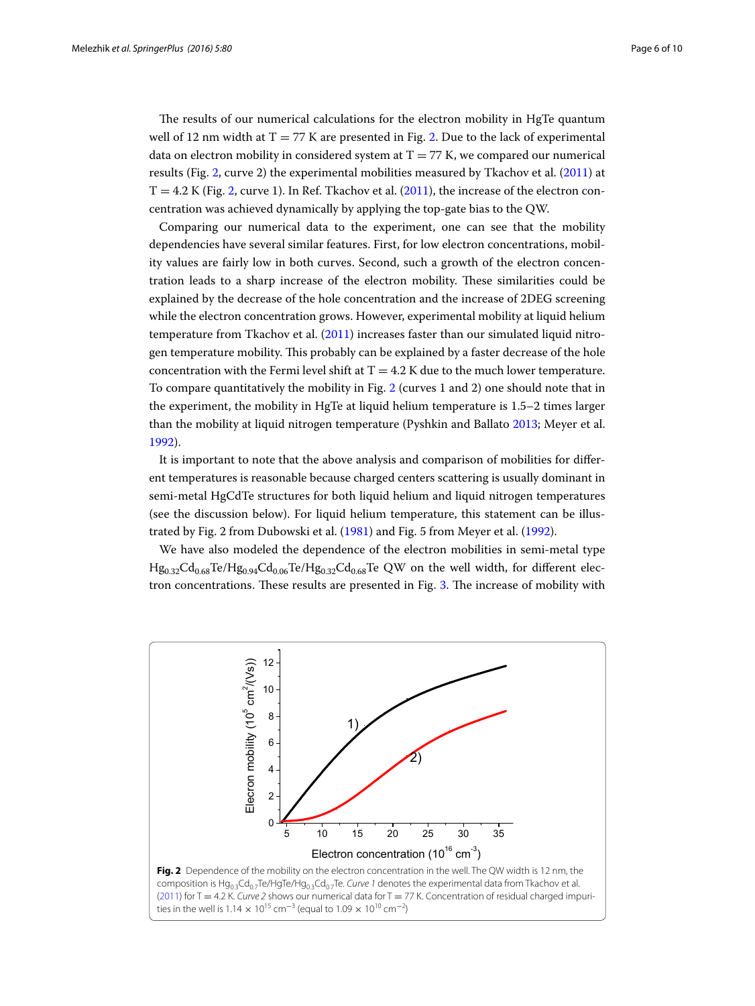The results of our numerical calculations for the electron mobility in HgTe quantum well of 12 nm width at  $T = 77$  K are presented in Fig. [2.](#page-5-0) Due to the lack of experimental data on electron mobility in considered system at  $T = 77$  K, we compared our numerical results (Fig. [2](#page-5-0), curve 2) the experimental mobilities measured by Tkachov et al. ([2011](#page-9-8)) at  $T = 4.2$  K (Fig. [2,](#page-5-0) curve 1). In Ref. Tkachov et al. ([2011](#page-9-8)), the increase of the electron concentration was achieved dynamically by applying the top-gate bias to the QW.

Comparing our numerical data to the experiment, one can see that the mobility dependencies have several similar features. First, for low electron concentrations, mobility values are fairly low in both curves. Second, such a growth of the electron concentration leads to a sharp increase of the electron mobility. These similarities could be explained by the decrease of the hole concentration and the increase of 2DEG screening while the electron concentration grows. However, experimental mobility at liquid helium temperature from Tkachov et al. [\(2011](#page-9-8)) increases faster than our simulated liquid nitrogen temperature mobility. This probably can be explained by a faster decrease of the hole concentration with the Fermi level shift at  $T = 4.2$  K due to the much lower temperature. To compare quantitatively the mobility in Fig. [2](#page-5-0) (curves 1 and 2) one should note that in the experiment, the mobility in HgTe at liquid helium temperature is 1.5–2 times larger than the mobility at liquid nitrogen temperature (Pyshkin and Ballato [2013](#page-9-9); Meyer et al. [1992](#page-9-10)).

It is important to note that the above analysis and comparison of mobilities for different temperatures is reasonable because charged centers scattering is usually dominant in semi-metal HgCdTe structures for both liquid helium and liquid nitrogen temperatures (see the discussion below). For liquid helium temperature, this statement can be illustrated by Fig. 2 from Dubowski et al. ([1981](#page-8-0)) and Fig. 5 from Meyer et al. ([1992](#page-9-10)).

We have also modeled the dependence of the electron mobilities in semi-metal type  $Hg_{0.32}Cd_{0.68}Te/Hg_{0.94}Cd_{0.06}Te/Hg_{0.32}Cd_{0.68}Te$  QW on the well width, for different electron concentrations. These results are presented in Fig. [3](#page-6-0). The increase of mobility with

<span id="page-5-0"></span>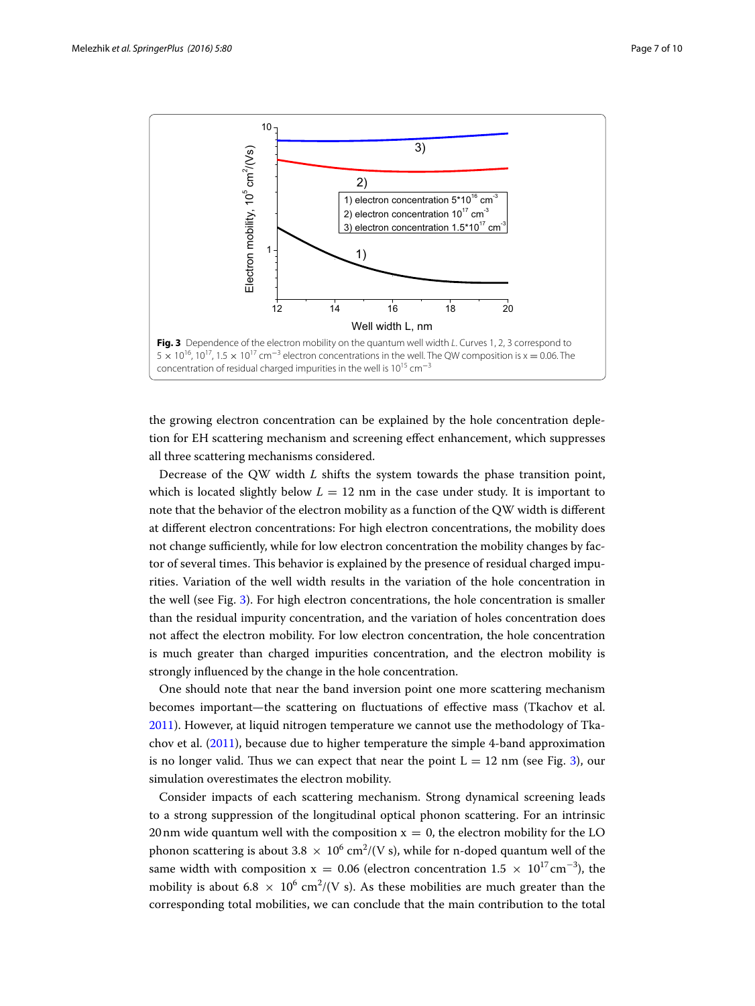

<span id="page-6-0"></span>the growing electron concentration can be explained by the hole concentration depletion for EH scattering mechanism and screening effect enhancement, which suppresses all three scattering mechanisms considered.

Decrease of the QW width *L* shifts the system towards the phase transition point, which is located slightly below  $L = 12$  nm in the case under study. It is important to note that the behavior of the electron mobility as a function of the QW width is different at different electron concentrations: For high electron concentrations, the mobility does not change sufficiently, while for low electron concentration the mobility changes by factor of several times. This behavior is explained by the presence of residual charged impurities. Variation of the well width results in the variation of the hole concentration in the well (see Fig. [3](#page-6-0)). For high electron concentrations, the hole concentration is smaller than the residual impurity concentration, and the variation of holes concentration does not affect the electron mobility. For low electron concentration, the hole concentration is much greater than charged impurities concentration, and the electron mobility is strongly influenced by the change in the hole concentration.

One should note that near the band inversion point one more scattering mechanism becomes important—the scattering on fluctuations of effective mass (Tkachov et al. [2011](#page-9-8)). However, at liquid nitrogen temperature we cannot use the methodology of Tkachov et al. ([2011](#page-9-8)), because due to higher temperature the simple 4-band approximation is no longer valid. Thus we can expect that near the point  $L = 12$  nm (see Fig. [3\)](#page-6-0), our simulation overestimates the electron mobility.

Consider impacts of each scattering mechanism. Strong dynamical screening leads to a strong suppression of the longitudinal optical phonon scattering. For an intrinsic 20 nm wide quantum well with the composition  $x = 0$ , the electron mobility for the LO phonon scattering is about 3.8  $\times$  10<sup>6</sup> cm<sup>2</sup>/(V s), while for n-doped quantum well of the same width with composition  $x = 0.06$  (electron concentration  $1.5 \times 10^{17} \text{cm}^{-3}$ ), the mobility is about 6.8  $\times$  10<sup>6</sup> cm<sup>2</sup>/(V s). As these mobilities are much greater than the corresponding total mobilities, we can conclude that the main contribution to the total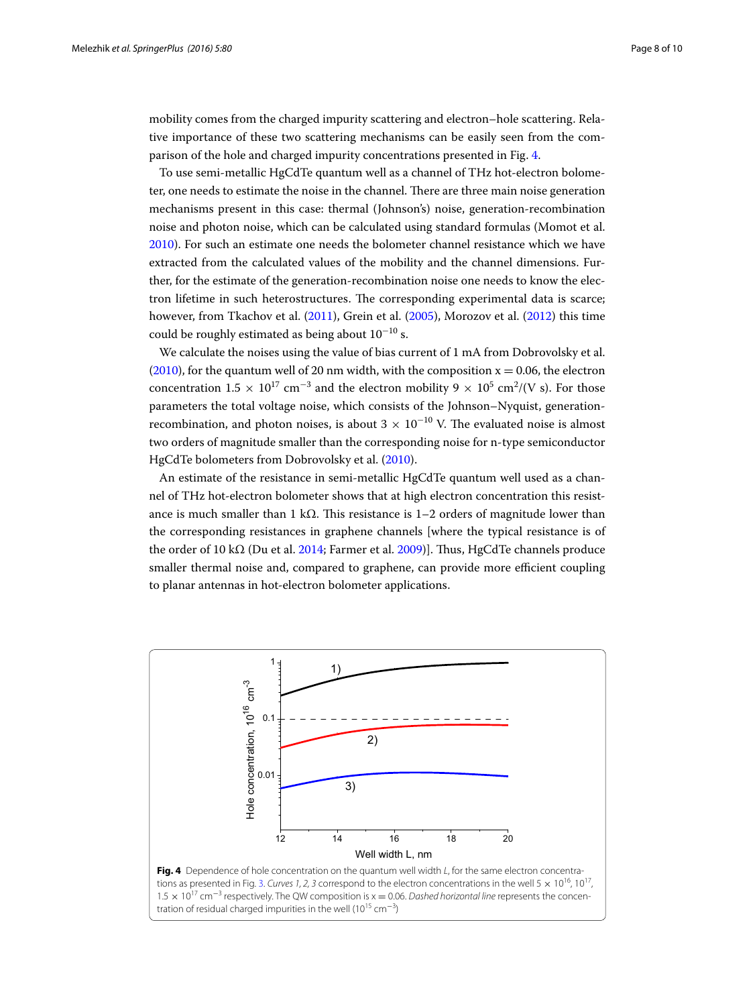mobility comes from the charged impurity scattering and electron–hole scattering. Relative importance of these two scattering mechanisms can be easily seen from the comparison of the hole and charged impurity concentrations presented in Fig. [4.](#page-7-0)

To use semi-metallic HgCdTe quantum well as a channel of THz hot-electron bolometer, one needs to estimate the noise in the channel. There are three main noise generation mechanisms present in this case: thermal (Johnson's) noise, generation-recombination noise and photon noise, which can be calculated using standard formulas (Momot et al. [2010](#page-9-11)). For such an estimate one needs the bolometer channel resistance which we have extracted from the calculated values of the mobility and the channel dimensions. Further, for the estimate of the generation-recombination noise one needs to know the electron lifetime in such heterostructures. The corresponding experimental data is scarce; however, from Tkachov et al. [\(2011\)](#page-9-8), Grein et al. ([2005](#page-8-5)), Morozov et al. ([2012](#page-9-12)) this time could be roughly estimated as being about  $10^{-10}$  s.

We calculate the noises using the value of bias current of 1 mA from Dobrovolsky et al. ([2010\)](#page-8-6), for the quantum well of 20 nm width, with the composition  $x = 0.06$ , the electron concentration  $1.5 \times 10^{17}$  cm<sup>-3</sup> and the electron mobility 9  $\times 10^5$  cm<sup>2</sup>/(V s). For those parameters the total voltage noise, which consists of the Johnson–Nyquist, generationrecombination, and photon noises, is about  $3 \times 10^{-10}$  V. The evaluated noise is almost two orders of magnitude smaller than the corresponding noise for n-type semiconductor HgCdTe bolometers from Dobrovolsky et al. [\(2010\)](#page-8-6).

An estimate of the resistance in semi-metallic HgCdTe quantum well used as a channel of THz hot-electron bolometer shows that at high electron concentration this resistance is much smaller than 1 k $\Omega$ . This resistance is 1–2 orders of magnitude lower than the corresponding resistances in graphene channels [where the typical resistance is of the order of 10 kΩ (Du et al. [2014](#page-8-7); Farmer et al. [2009](#page-8-8))]. Thus, HgCdTe channels produce smaller thermal noise and, compared to graphene, can provide more efficient coupling to planar antennas in hot-electron bolometer applications.

<span id="page-7-0"></span>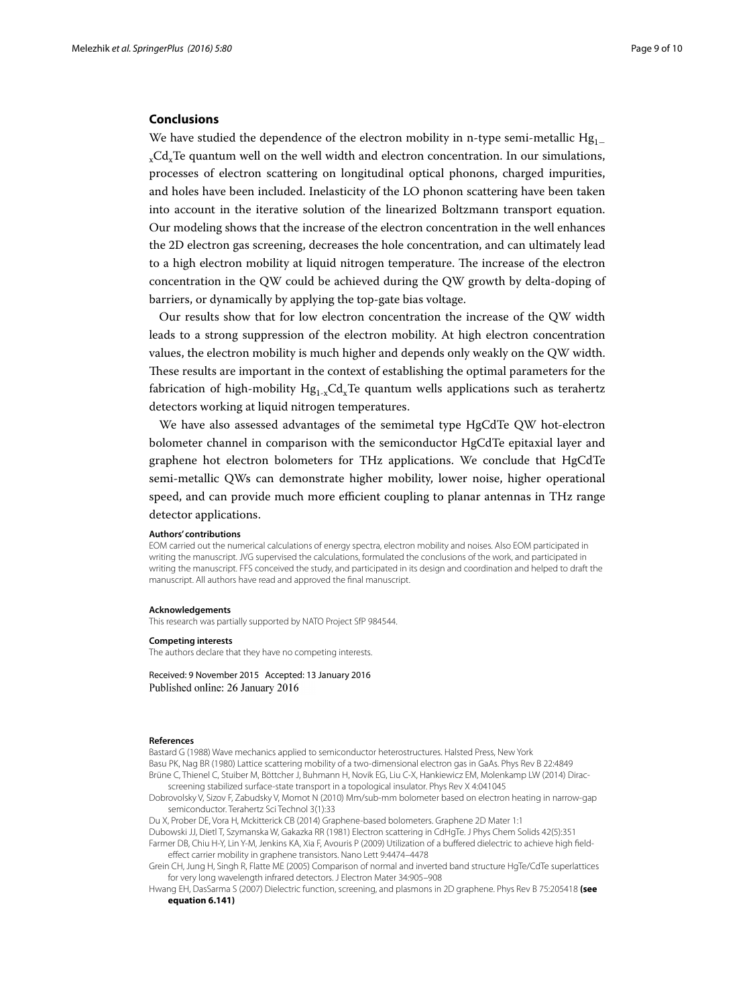### **Conclusions**

We have studied the dependence of the electron mobility in n-type semi-metallic Hg<sub>1</sub> xCdxTe quantum well on the well width and electron concentration. In our simulations, processes of electron scattering on longitudinal optical phonons, charged impurities, and holes have been included. Inelasticity of the LO phonon scattering have been taken into account in the iterative solution of the linearized Boltzmann transport equation. Our modeling shows that the increase of the electron concentration in the well enhances the 2D electron gas screening, decreases the hole concentration, and can ultimately lead to a high electron mobility at liquid nitrogen temperature. The increase of the electron concentration in the QW could be achieved during the QW growth by delta-doping of barriers, or dynamically by applying the top-gate bias voltage.

Our results show that for low electron concentration the increase of the QW width leads to a strong suppression of the electron mobility. At high electron concentration values, the electron mobility is much higher and depends only weakly on the QW width. These results are important in the context of establishing the optimal parameters for the fabrication of high-mobility  $Hg_{1-x}Cd_xTe$  quantum wells applications such as terahertz detectors working at liquid nitrogen temperatures.

We have also assessed advantages of the semimetal type HgCdTe QW hot-electron bolometer channel in comparison with the semiconductor HgCdTe epitaxial layer and graphene hot electron bolometers for THz applications. We conclude that HgCdTe semi-metallic QWs can demonstrate higher mobility, lower noise, higher operational speed, and can provide much more efficient coupling to planar antennas in THz range detector applications.

#### **Authors' contributions**

EOM carried out the numerical calculations of energy spectra, electron mobility and noises. Also EOM participated in writing the manuscript. JVG supervised the calculations, formulated the conclusions of the work, and participated in writing the manuscript. FFS conceived the study, and participated in its design and coordination and helped to draft the manuscript. All authors have read and approved the final manuscript.

#### **Acknowledgements**

This research was partially supported by NATO Project SfP 984544.

### **Competing interests**

The authors declare that they have no competing interests.

Received: 9 November 2015 Accepted: 13 January 2016 Published online: 26 January 2016

#### **References**

<span id="page-8-4"></span><span id="page-8-3"></span><span id="page-8-1"></span>Bastard G (1988) Wave mechanics applied to semiconductor heterostructures. Halsted Press, New York Basu PK, Nag BR (1980) Lattice scattering mobility of a two-dimensional electron gas in GaAs. Phys Rev B 22:4849 Brüne C, Thienel C, Stuiber M, Böttcher J, Buhmann H, Novik EG, Liu C-X, Hankiewicz EM, Molenkamp LW (2014) Diracscreening stabilized surface-state transport in a topological insulator. Phys Rev X 4:041045

<span id="page-8-6"></span>Dobrovolsky V, Sizov F, Zabudsky V, Momot N (2010) Mm/sub-mm bolometer based on electron heating in narrow-gap semiconductor. Terahertz Sci Technol 3(1):33

<span id="page-8-7"></span>Du X, Prober DE, Vora H, Mckitterick CB (2014) Graphene-based bolometers. Graphene 2D Mater 1:1 Dubowski JJ, Dietl T, Szymanska W, Gakazka RR (1981) Electron scattering in CdHgTe. J Phys Chem Solids 42(5):351

<span id="page-8-8"></span><span id="page-8-0"></span>Farmer DB, Chiu H-Y, Lin Y-M, Jenkins KA, Xia F, Avouris P (2009) Utilization of a buffered dielectric to achieve high fieldeffect carrier mobility in graphene transistors. Nano Lett 9:4474–4478

<span id="page-8-5"></span>Grein CH, Jung H, Singh R, Flatte ME (2005) Comparison of normal and inverted band structure HgTe/CdTe superlattices for very long wavelength infrared detectors. J Electron Mater 34:905–908

<span id="page-8-2"></span>Hwang EH, DasSarma S (2007) Dielectric function, screening, and plasmons in 2D graphene. Phys Rev B 75:205418 **(see equation 6.141)**